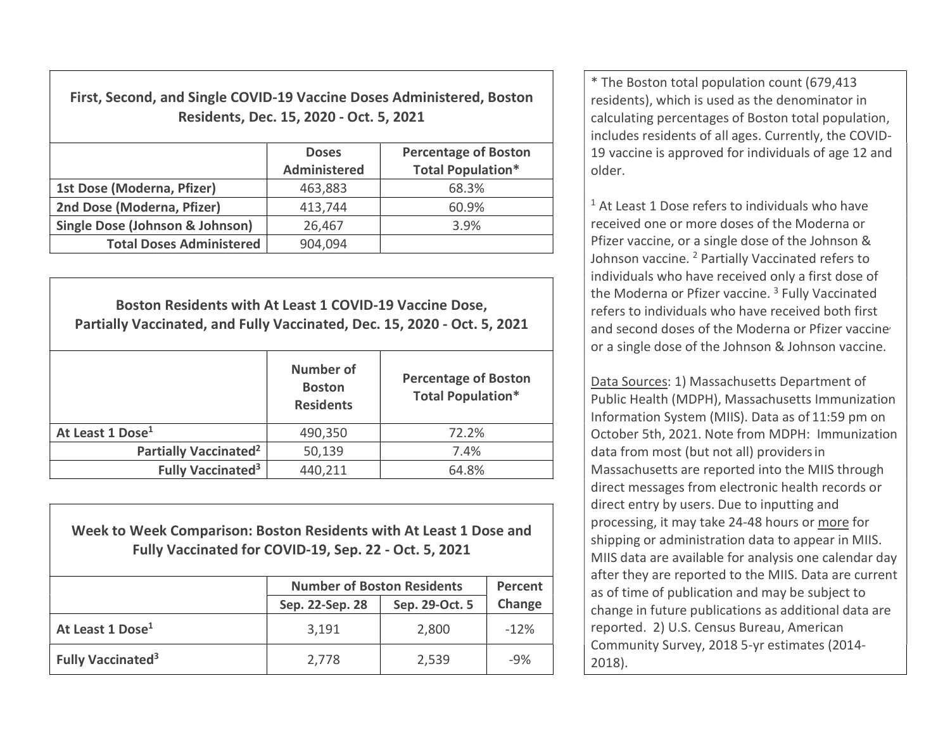First, Second, and Single COVID-19 Vaccine Doses Administered, Boston Residents, Dec. 15, 2020 - Oct. 5, 2021

|                                            | <b>Doses</b><br><b>Administered</b> | <b>Percentage of Boston</b><br><b>Total Population*</b> |
|--------------------------------------------|-------------------------------------|---------------------------------------------------------|
| 1st Dose (Moderna, Pfizer)                 | 463,883                             | 68.3%                                                   |
| 2nd Dose (Moderna, Pfizer)                 | 413,744                             | 60.9%                                                   |
| <b>Single Dose (Johnson &amp; Johnson)</b> | 26,467                              | 3.9%                                                    |
| <b>Total Doses Administered</b>            | 904,094                             |                                                         |

Boston Residents with At Least 1 COVID-19 Vaccine Dose, Partially Vaccinated, and Fully Vaccinated, Dec. 15, 2020 - Oct. 5, 2021 Number of **Boston Residents** Percentage of Boston Total Population\* At Least 1 Dose<sup>1</sup> 190.350 at Least 1 Dose<sup>1</sup> 190.350 at 22.2% Partially Vaccinated<sup>2</sup>  $\vert$  50,139  $\vert$  7.4% Fully Vaccinated<sup>3</sup>  $440,211$  64.8%

Week to Week Comparison: Boston Residents with At Least 1 Dose and Fully Vaccinated for COVID-19, Sep. 22 - Oct. 5, 2021

|                               | <b>Number of Boston Residents</b> | Percent        |        |
|-------------------------------|-----------------------------------|----------------|--------|
|                               | Sep. 22-Sep. 28                   | Sep. 29-Oct. 5 | Change |
| At Least 1 Dose <sup>1</sup>  | 3,191                             | 2,800          | $-12%$ |
| Fully Vaccinated <sup>3</sup> | 2,778                             | 2,539          | $-9%$  |

\* The Boston total population count (679,413 residents), which is used as the denominator in calculating percentages of Boston total population, includes residents of all ages. Currently, the COVID-19 vaccine is approved for individuals of age 12 and older.

<sup>1</sup> At Least 1 Dose refers to individuals who have received one or more doses of the Moderna or Pfizer vaccine, or a single dose of the Johnson & Johnson vaccine. <sup>2</sup> Partially Vaccinated refers to individuals who have received only a first dose of the Moderna or Pfizer vaccine.<sup>3</sup> Fully Vaccinated refers to individuals who have received both first and second doses of the Moderna or Pfizer vaccine or a single dose of the Johnson & Johnson vaccine.

Data Sources: 1) Massachusetts Department of Public Health (MDPH), Massachusetts Immunization Information System (MIIS). Data as of 11:59 pm on October 5th, 2021. Note from MDPH: Immunization data from most (but not all) providersin Massachusetts are reported into the MIIS through direct messages from electronic health records or direct entry by users. Due to inputting and processing, it may take 24-48 hours or more for shipping or administration data to appear in MIIS. MIIS data are available for analysis one calendar day after they are reported to the MIIS. Data are current as of time of publication and may be subject to change in future publications as additional data are reported. 2) U.S. Census Bureau, American Community Survey, 2018 5-yr estimates (2014- 2018).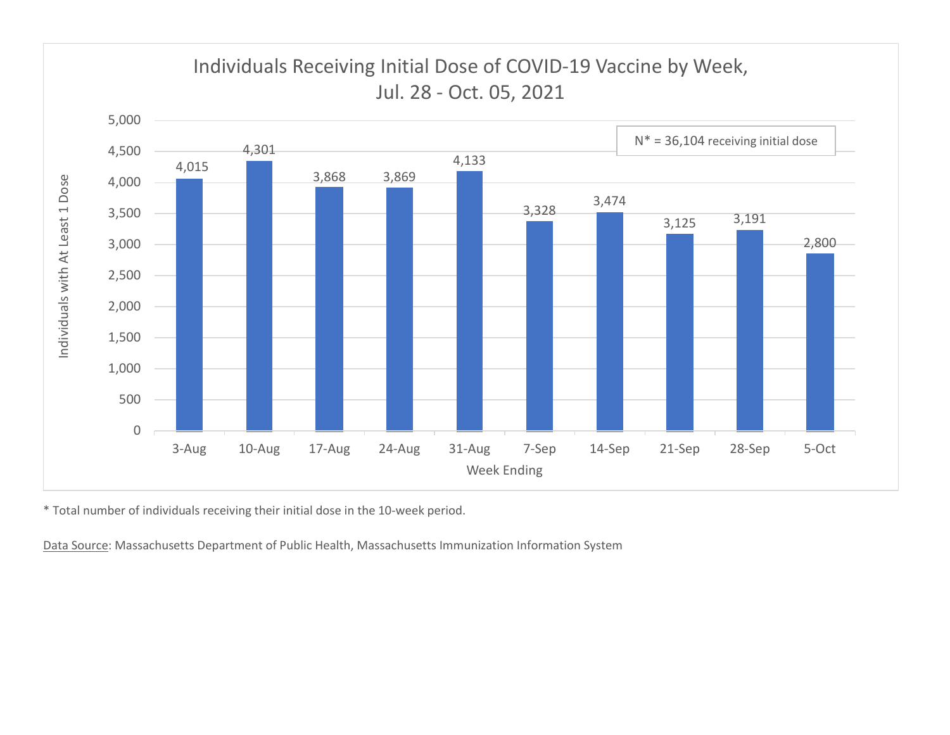

\* Total number of individuals receiving their initial dose in the 10-week period.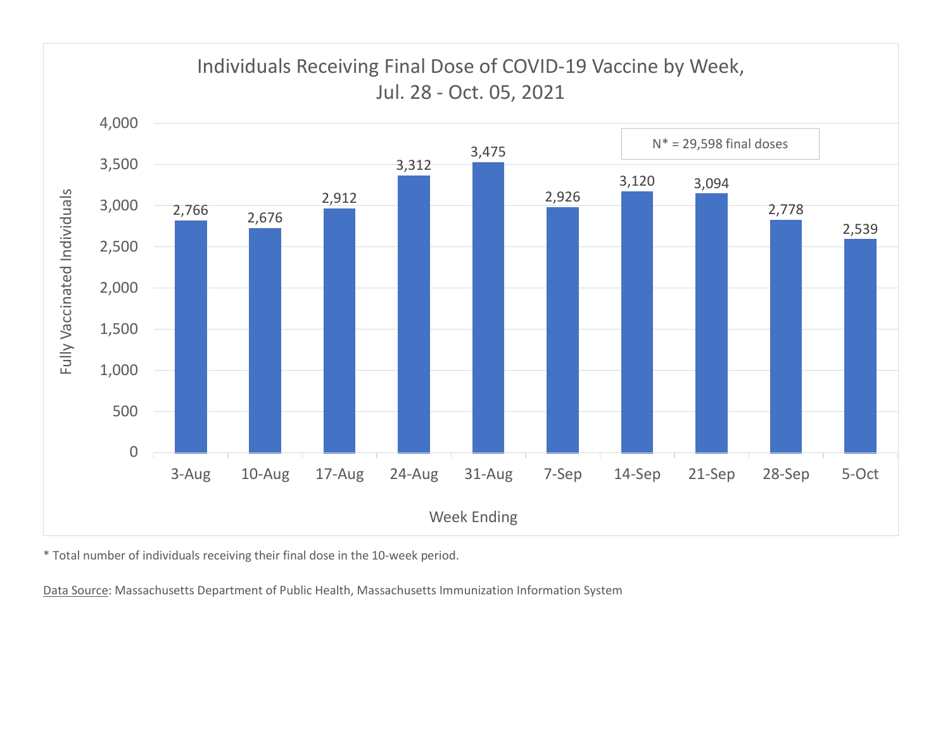

\* Total number of individuals receiving their final dose in the 10-week period.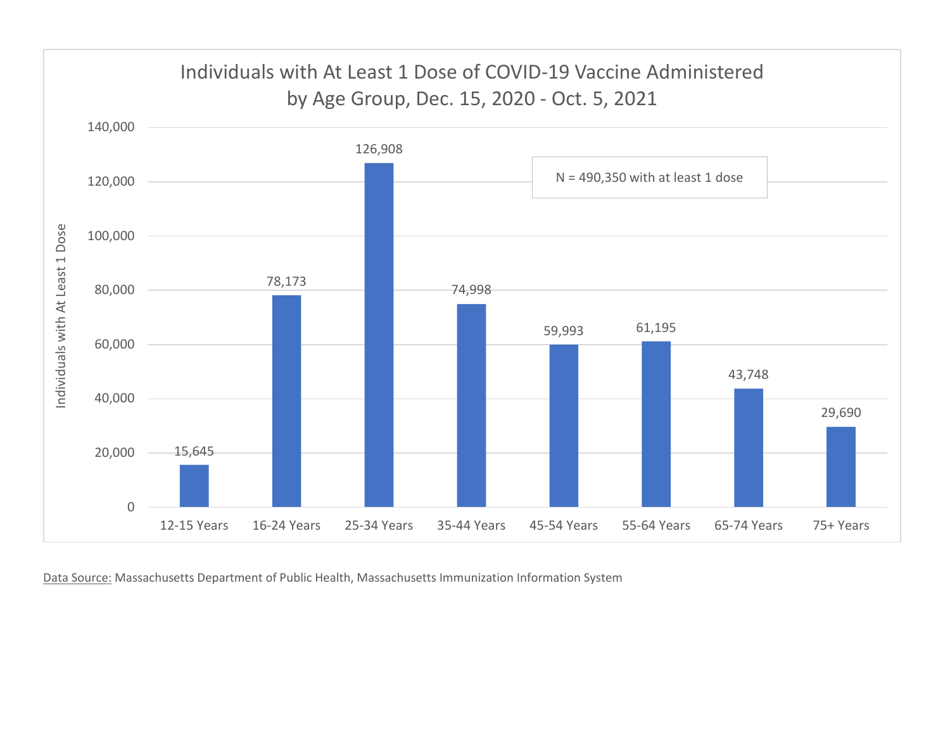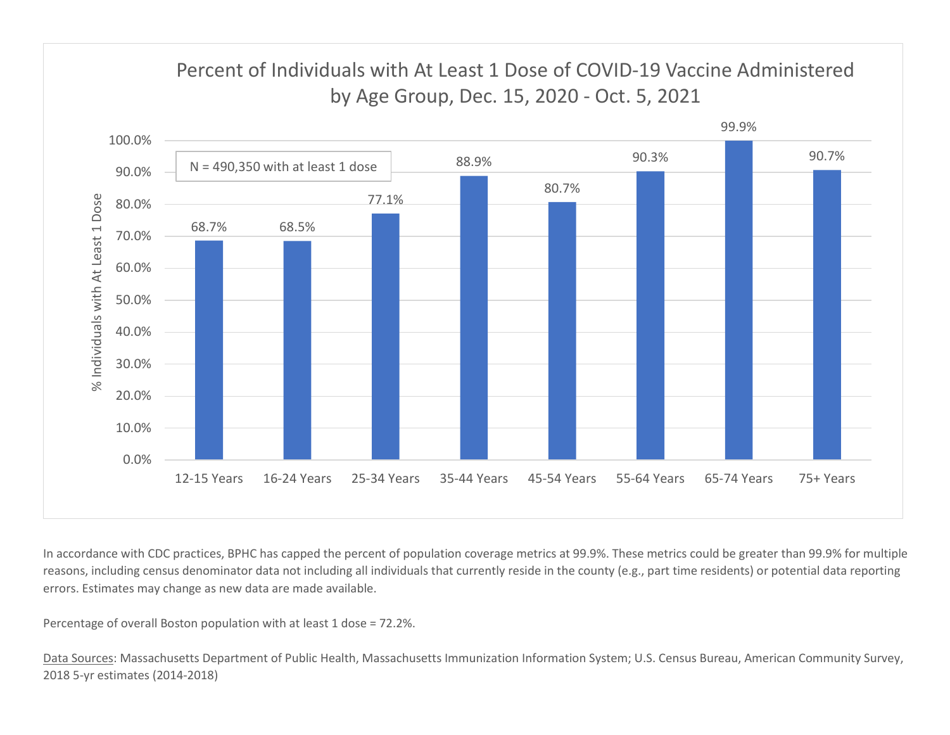

In accordance with CDC practices, BPHC has capped the percent of population coverage metrics at 99.9%. These metrics could be greater than 99.9% for multiple reasons, including census denominator data not including all individuals that currently reside in the county (e.g., part time residents) or potential data reporting errors. Estimates may change as new data are made available.

Percentage of overall Boston population with at least 1 dose = 72.2%.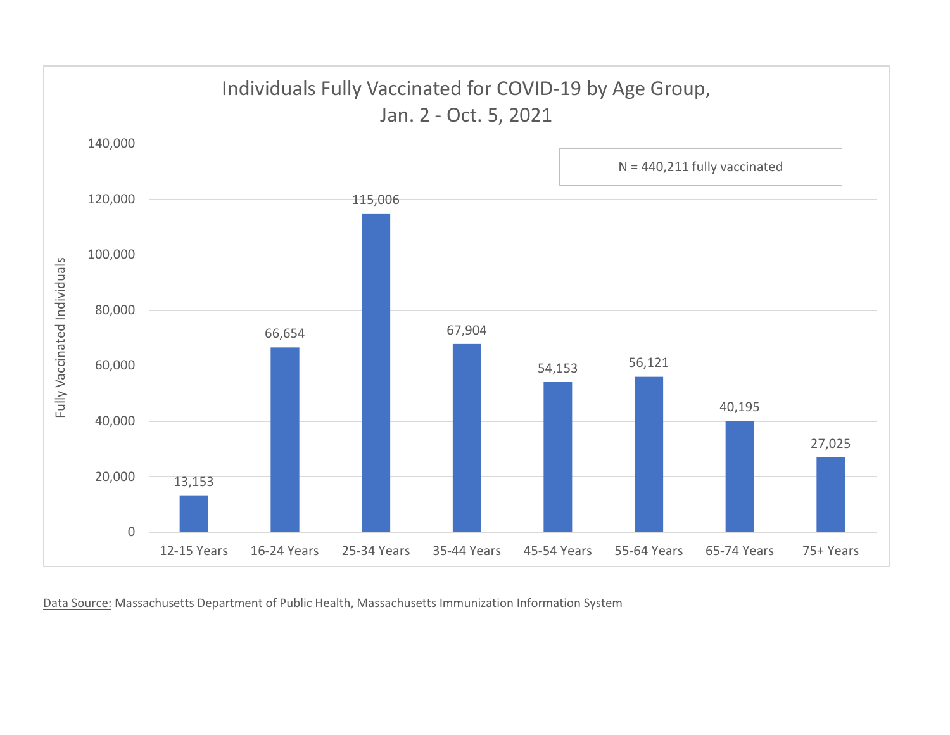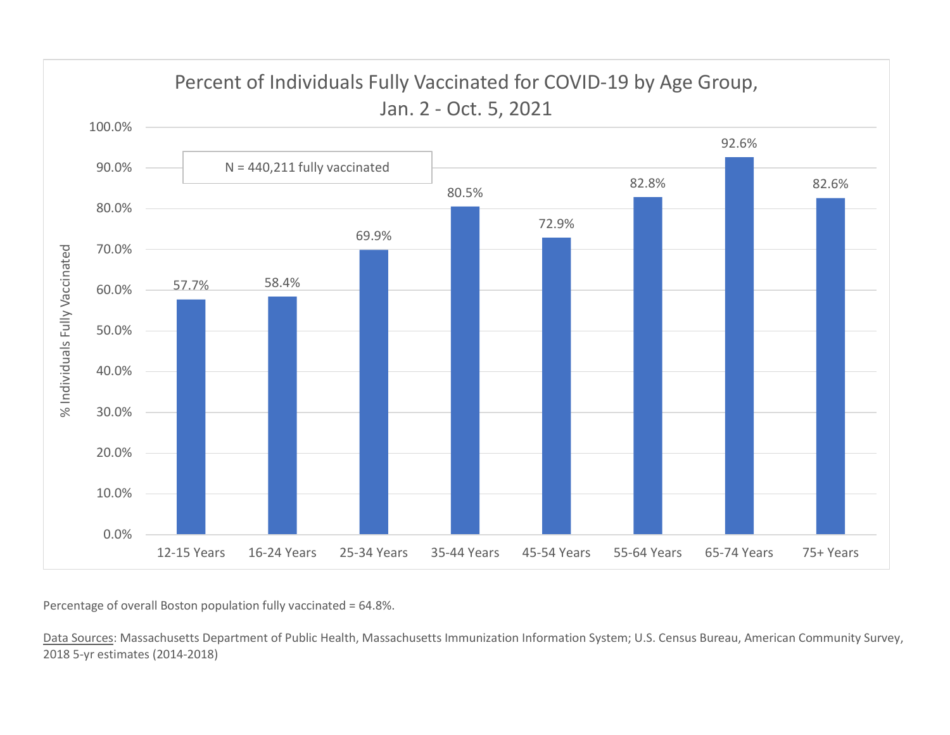

Percentage of overall Boston population fully vaccinated = 64.8%.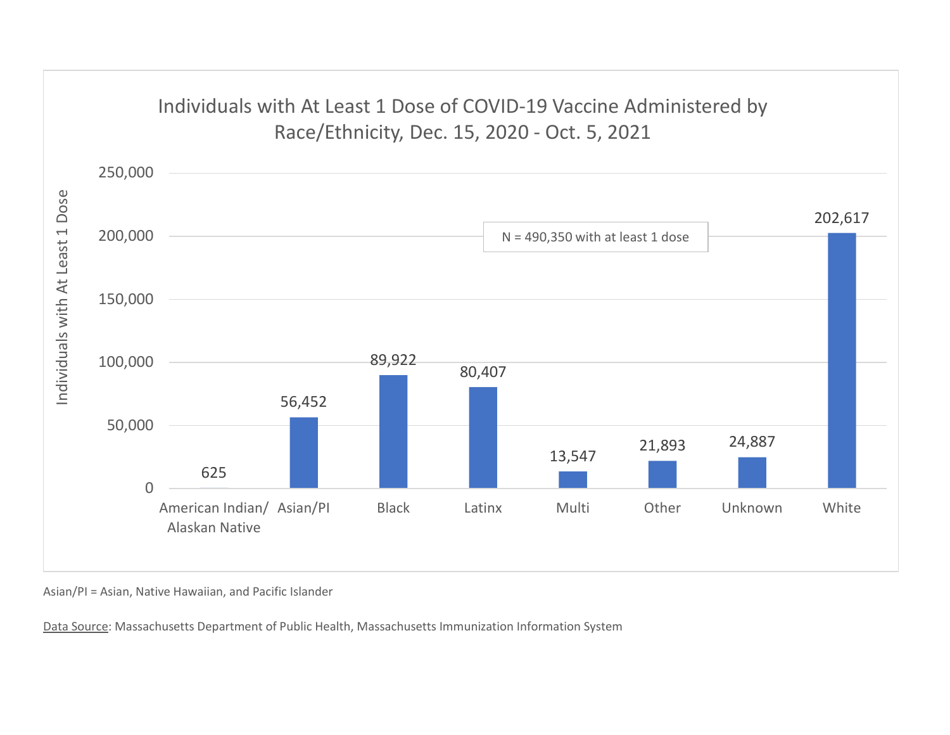

Asian/PI = Asian, Native Hawaiian, and Pacific Islander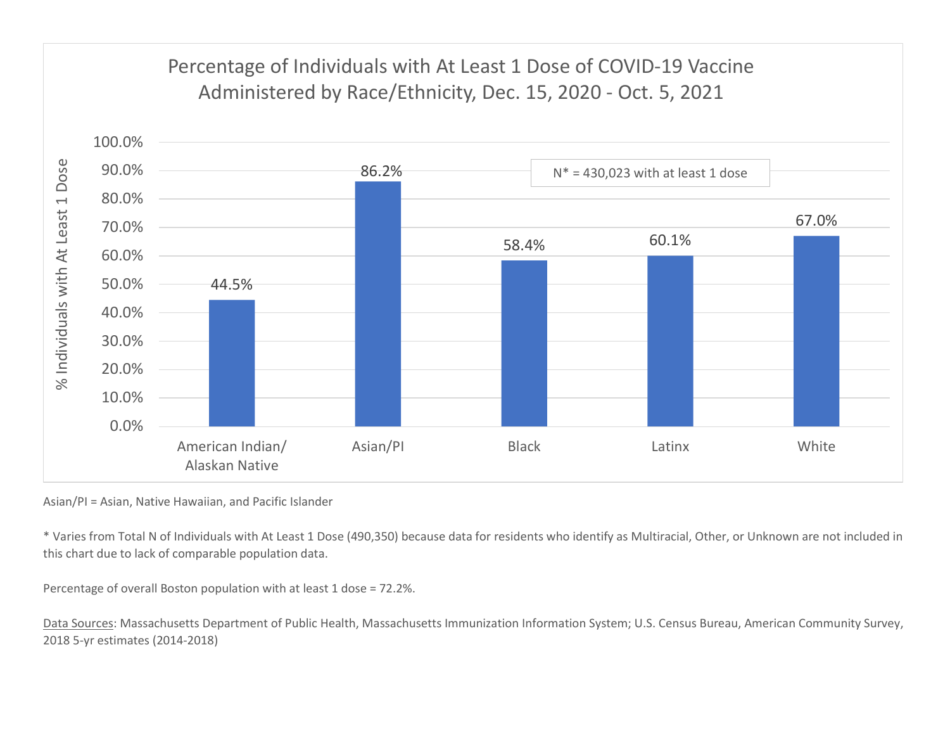

Asian/PI = Asian, Native Hawaiian, and Pacific Islander

\* Varies from Total N of Individuals with At Least 1 Dose (490,350) because data for residents who identify as Multiracial, Other, or Unknown are not included in this chart due to lack of comparable population data.

Percentage of overall Boston population with at least 1 dose = 72.2%.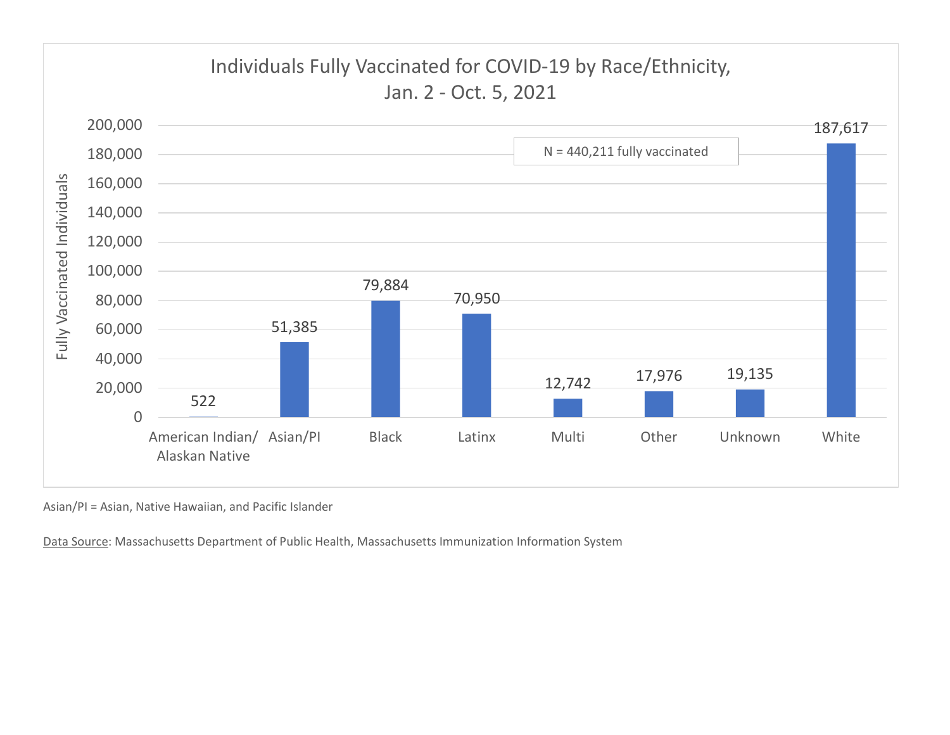

Asian/PI = Asian, Native Hawaiian, and Pacific Islander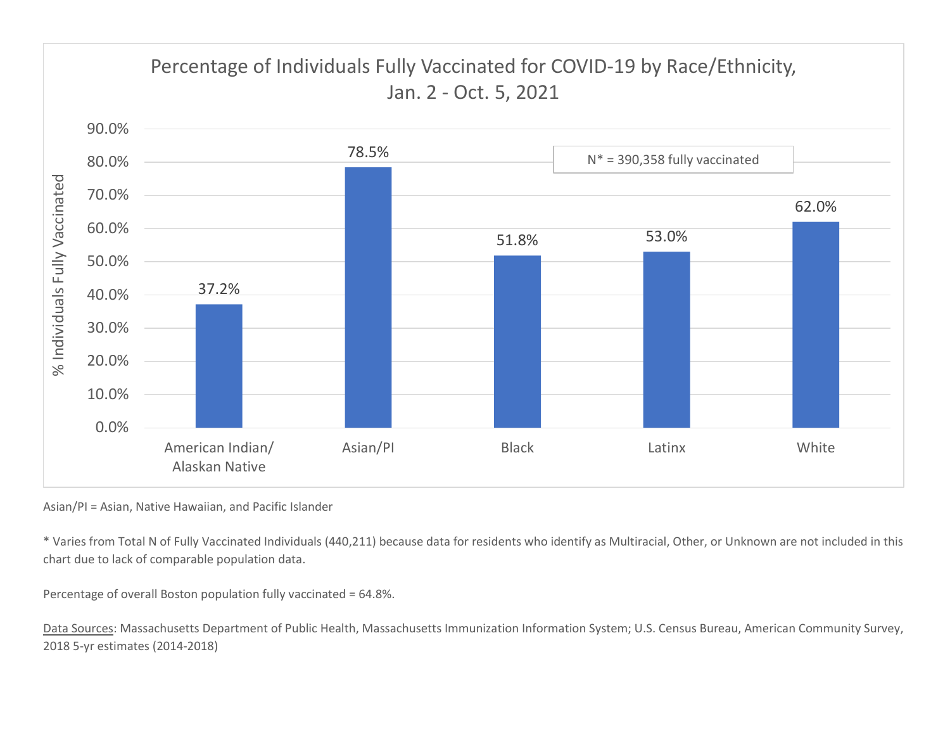

Asian/PI = Asian, Native Hawaiian, and Pacific Islander

\* Varies from Total N of Fully Vaccinated Individuals (440,211) because data for residents who identify as Multiracial, Other, or Unknown are not included in this chart due to lack of comparable population data.

Percentage of overall Boston population fully vaccinated = 64.8%.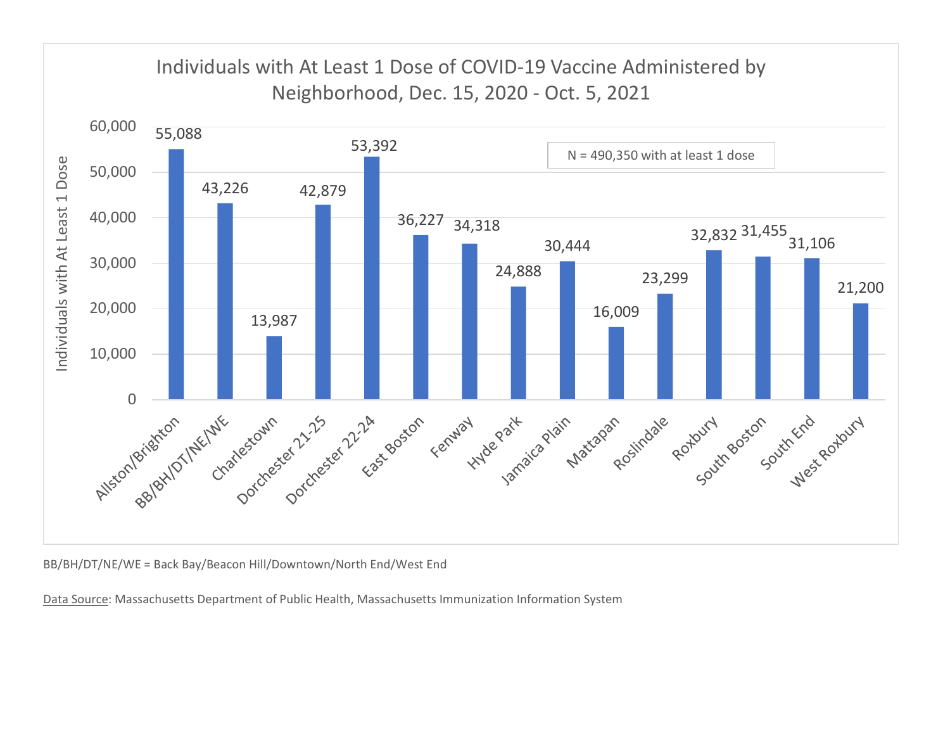

BB/BH/DT/NE/WE = Back Bay/Beacon Hill/Downtown/North End/West End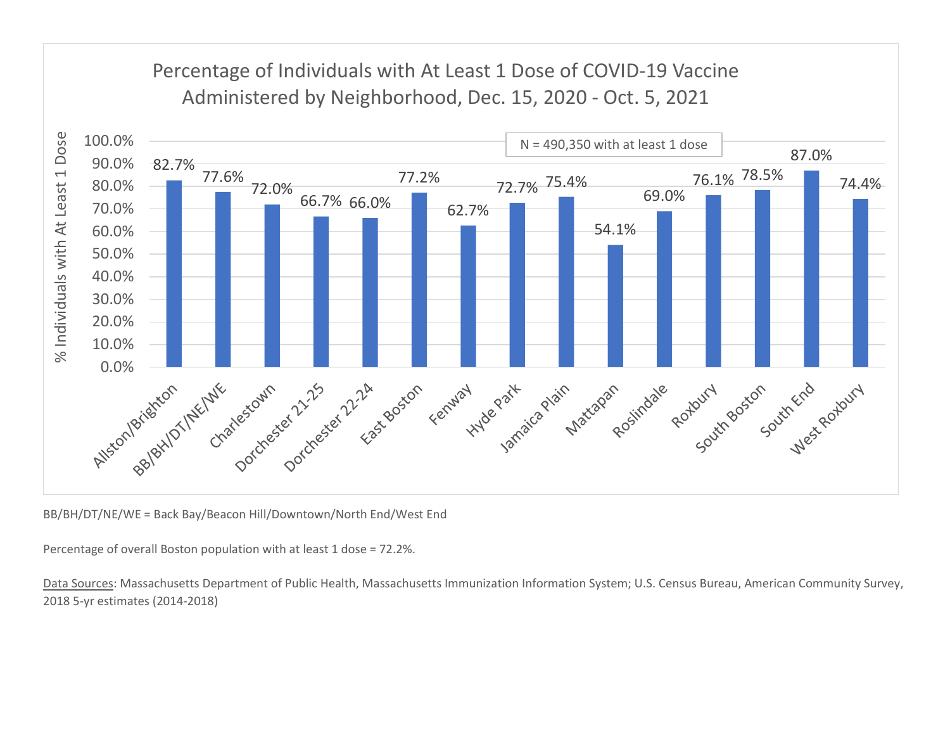## Percentage of Individuals with At Least 1 Dose of COVID-19 Vaccine



BB/BH/DT/NE/WE = Back Bay/Beacon Hill/Downtown/North End/West End

Percentage of overall Boston population with at least 1 dose = 72.2%.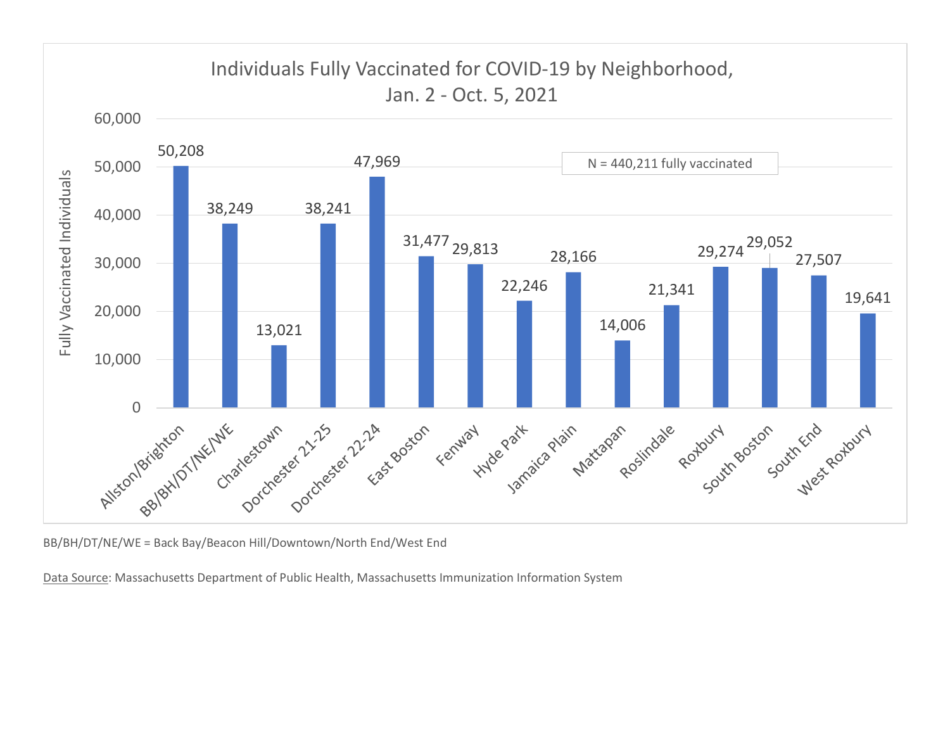

BB/BH/DT/NE/WE = Back Bay/Beacon Hill/Downtown/North End/West End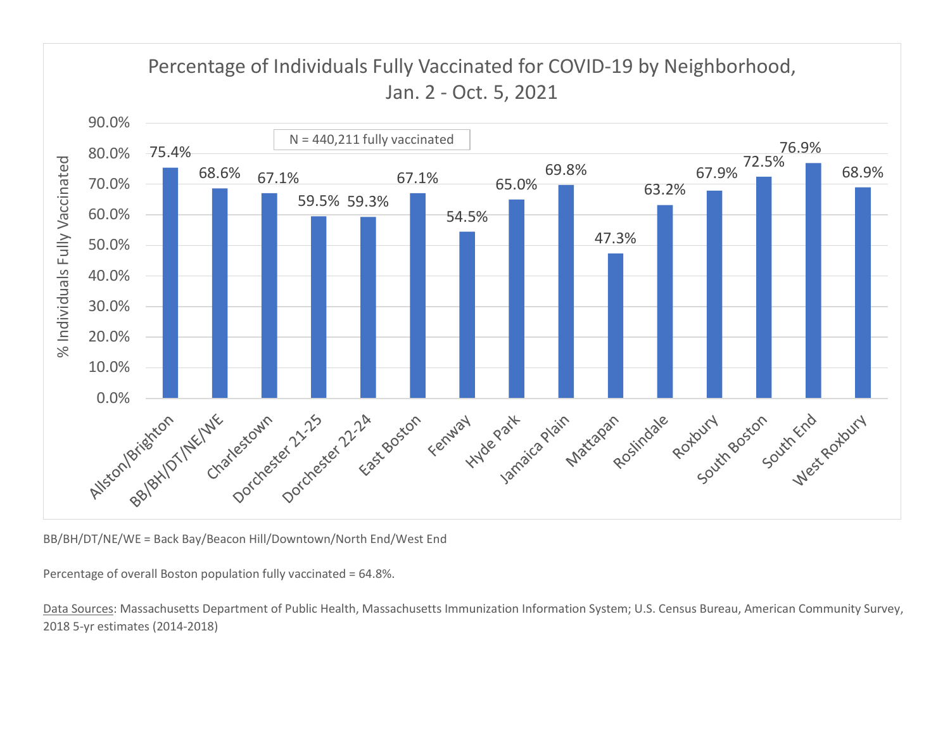

BB/BH/DT/NE/WE = Back Bay/Beacon Hill/Downtown/North End/West End

Percentage of overall Boston population fully vaccinated = 64.8%.